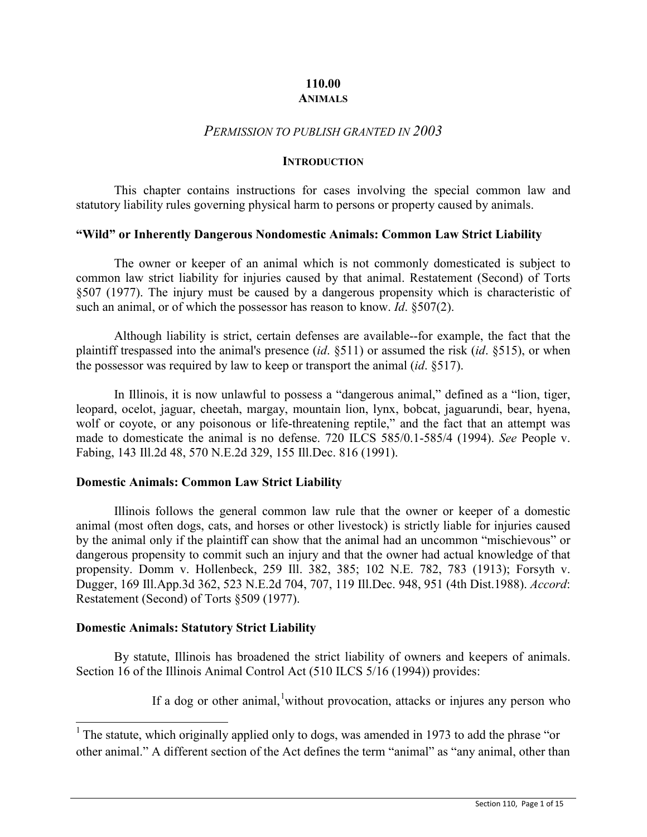# **110.00 ANIMALS**

# *PERMISSION TO PUBLISH GRANTED IN 2003*

#### **INTRODUCTION**

This chapter contains instructions for cases involving the special common law and statutory liability rules governing physical harm to persons or property caused by animals.

### **"Wild" or Inherently Dangerous Nondomestic Animals: Common Law Strict Liability**

The owner or keeper of an animal which is not commonly domesticated is subject to common law strict liability for injuries caused by that animal. Restatement (Second) of Torts §507 (1977). The injury must be caused by a dangerous propensity which is characteristic of such an animal, or of which the possessor has reason to know. *Id*. §507(2).

Although liability is strict, certain defenses are available--for example, the fact that the plaintiff trespassed into the animal's presence (*id*. §511) or assumed the risk (*id*. §515), or when the possessor was required by law to keep or transport the animal (*id*. §517).

In Illinois, it is now unlawful to possess a "dangerous animal," defined as a "lion, tiger, leopard, ocelot, jaguar, cheetah, margay, mountain lion, lynx, bobcat, jaguarundi, bear, hyena, wolf or coyote, or any poisonous or life-threatening reptile," and the fact that an attempt was made to domesticate the animal is no defense. 720 ILCS 585/0.1-585/4 (1994). *See* People v. Fabing, 143 Ill.2d 48, 570 N.E.2d 329, 155 Ill.Dec. 816 (1991).

### **Domestic Animals: Common Law Strict Liability**

Illinois follows the general common law rule that the owner or keeper of a domestic animal (most often dogs, cats, and horses or other livestock) is strictly liable for injuries caused by the animal only if the plaintiff can show that the animal had an uncommon "mischievous" or dangerous propensity to commit such an injury and that the owner had actual knowledge of that propensity. Domm v. Hollenbeck, 259 Ill. 382, 385; 102 N.E. 782, 783 (1913); Forsyth v. Dugger, 169 Ill.App.3d 362, 523 N.E.2d 704, 707, 119 Ill.Dec. 948, 951 (4th Dist.1988). *Accord*: Restatement (Second) of Torts §509 (1977).

### **Domestic Animals: Statutory Strict Liability**

By statute, Illinois has broadened the strict liability of owners and keepers of animals. Section 16 of the Illinois Animal Control Act (510 ILCS 5/16 (1994)) provides:

If a dog or other animal, without provocation, attacks or injures any person who

<span id="page-0-0"></span><sup>&</sup>lt;sup>1</sup> The statute, which originally applied only to dogs, was amended in 1973 to add the phrase "or other animal." A different section of the Act defines the term "animal" as "any animal, other than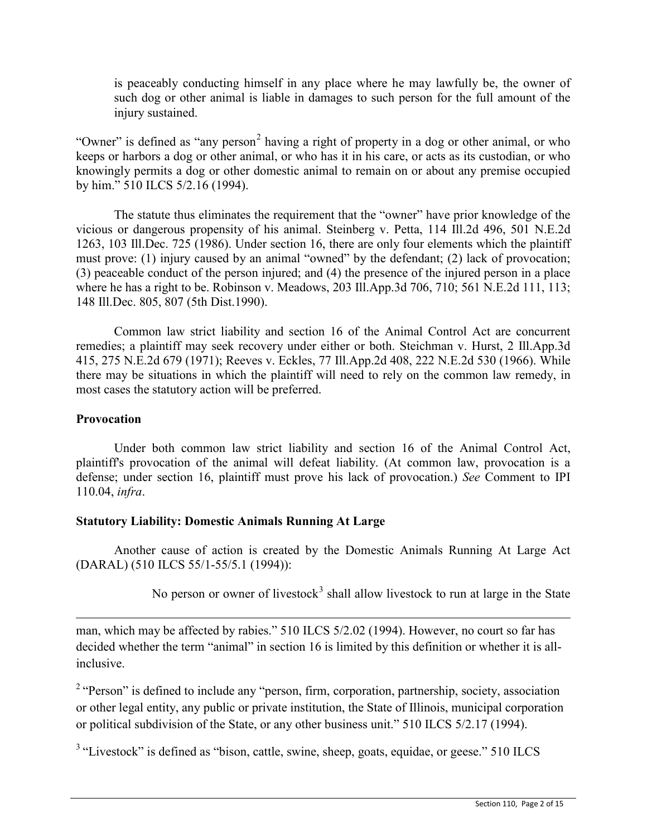is peaceably conducting himself in any place where he may lawfully be, the owner of such dog or other animal is liable in damages to such person for the full amount of the injury sustained.

"Owner" is defined as "any person<sup>[2](#page-1-0)</sup> having a right of property in a dog or other animal, or who keeps or harbors a dog or other animal, or who has it in his care, or acts as its custodian, or who knowingly permits a dog or other domestic animal to remain on or about any premise occupied by him." 510 ILCS 5/2.16 (1994).

The statute thus eliminates the requirement that the "owner" have prior knowledge of the vicious or dangerous propensity of his animal. Steinberg v. Petta, 114 Ill.2d 496, 501 N.E.2d 1263, 103 Ill.Dec. 725 (1986). Under section 16, there are only four elements which the plaintiff must prove: (1) injury caused by an animal "owned" by the defendant; (2) lack of provocation; (3) peaceable conduct of the person injured; and (4) the presence of the injured person in a place where he has a right to be. Robinson v. Meadows, 203 Ill.App.3d 706, 710; 561 N.E.2d 111, 113; 148 Ill.Dec. 805, 807 (5th Dist.1990).

Common law strict liability and section 16 of the Animal Control Act are concurrent remedies; a plaintiff may seek recovery under either or both. Steichman v. Hurst, 2 Ill.App.3d 415, 275 N.E.2d 679 (1971); Reeves v. Eckles, 77 Ill.App.2d 408, 222 N.E.2d 530 (1966). While there may be situations in which the plaintiff will need to rely on the common law remedy, in most cases the statutory action will be preferred.

# **Provocation**

Under both common law strict liability and section 16 of the Animal Control Act, plaintiff's provocation of the animal will defeat liability. (At common law, provocation is a defense; under section 16, plaintiff must prove his lack of provocation.) *See* Comment to IPI 110.04, *infra*.

# **Statutory Liability: Domestic Animals Running At Large**

Another cause of action is created by the Domestic Animals Running At Large Act (DARAL) (510 ILCS 55/1-55/5.1 (1994)):

No person or owner of livestock<sup>[3](#page-1-1)</sup> shall allow livestock to run at large in the State

 $\overline{a}$ man, which may be affected by rabies." 510 ILCS 5/2.02 (1994). However, no court so far has decided whether the term "animal" in section 16 is limited by this definition or whether it is allinclusive.

<span id="page-1-0"></span><sup>2</sup> "Person" is defined to include any "person, firm, corporation, partnership, society, association or other legal entity, any public or private institution, the State of Illinois, municipal corporation or political subdivision of the State, or any other business unit." 510 ILCS 5/2.17 (1994).

<span id="page-1-1"></span> $3$  "Livestock" is defined as "bison, cattle, swine, sheep, goats, equidae, or geese."  $510$  ILCS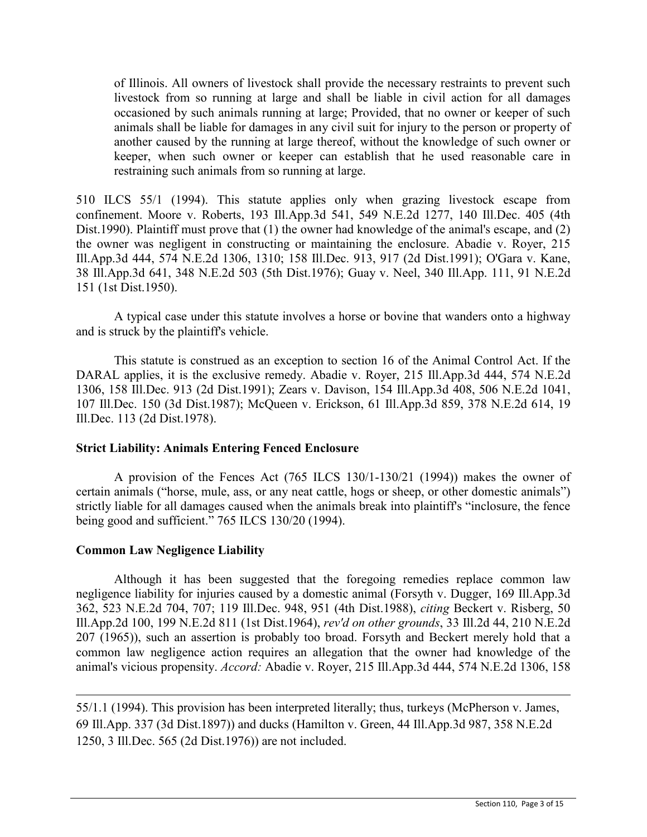of Illinois. All owners of livestock shall provide the necessary restraints to prevent such livestock from so running at large and shall be liable in civil action for all damages occasioned by such animals running at large; Provided, that no owner or keeper of such animals shall be liable for damages in any civil suit for injury to the person or property of another caused by the running at large thereof, without the knowledge of such owner or keeper, when such owner or keeper can establish that he used reasonable care in restraining such animals from so running at large.

510 ILCS 55/1 (1994). This statute applies only when grazing livestock escape from confinement. Moore v. Roberts, 193 Ill.App.3d 541, 549 N.E.2d 1277, 140 Ill.Dec. 405 (4th Dist.1990). Plaintiff must prove that (1) the owner had knowledge of the animal's escape, and (2) the owner was negligent in constructing or maintaining the enclosure. Abadie v. Royer, 215 Ill.App.3d 444, 574 N.E.2d 1306, 1310; 158 Ill.Dec. 913, 917 (2d Dist.1991); O'Gara v. Kane, 38 Ill.App.3d 641, 348 N.E.2d 503 (5th Dist.1976); Guay v. Neel, 340 Ill.App. 111, 91 N.E.2d 151 (1st Dist.1950).

A typical case under this statute involves a horse or bovine that wanders onto a highway and is struck by the plaintiff's vehicle.

This statute is construed as an exception to section 16 of the Animal Control Act. If the DARAL applies, it is the exclusive remedy. Abadie v. Royer, 215 Ill.App.3d 444, 574 N.E.2d 1306, 158 Ill.Dec. 913 (2d Dist.1991); Zears v. Davison, 154 Ill.App.3d 408, 506 N.E.2d 1041, 107 Ill.Dec. 150 (3d Dist.1987); McQueen v. Erickson, 61 Ill.App.3d 859, 378 N.E.2d 614, 19 Ill.Dec. 113 (2d Dist.1978).

# **Strict Liability: Animals Entering Fenced Enclosure**

A provision of the Fences Act (765 ILCS 130/1-130/21 (1994)) makes the owner of certain animals ("horse, mule, ass, or any neat cattle, hogs or sheep, or other domestic animals") strictly liable for all damages caused when the animals break into plaintiff's "inclosure, the fence being good and sufficient." 765 ILCS 130/20 (1994).

# **Common Law Negligence Liability**

 $\overline{a}$ 

Although it has been suggested that the foregoing remedies replace common law negligence liability for injuries caused by a domestic animal (Forsyth v. Dugger, 169 Ill.App.3d 362, 523 N.E.2d 704, 707; 119 Ill.Dec. 948, 951 (4th Dist.1988), *citing* Beckert v. Risberg, 50 Ill.App.2d 100, 199 N.E.2d 811 (1st Dist.1964), *rev'd on other grounds*, 33 Ill.2d 44, 210 N.E.2d 207 (1965)), such an assertion is probably too broad. Forsyth and Beckert merely hold that a common law negligence action requires an allegation that the owner had knowledge of the animal's vicious propensity. *Accord:* Abadie v. Royer, 215 Ill.App.3d 444, 574 N.E.2d 1306, 158

55/1.1 (1994). This provision has been interpreted literally; thus, turkeys (McPherson v. James, 69 Ill.App. 337 (3d Dist.1897)) and ducks (Hamilton v. Green, 44 Ill.App.3d 987, 358 N.E.2d 1250, 3 Ill.Dec. 565 (2d Dist.1976)) are not included.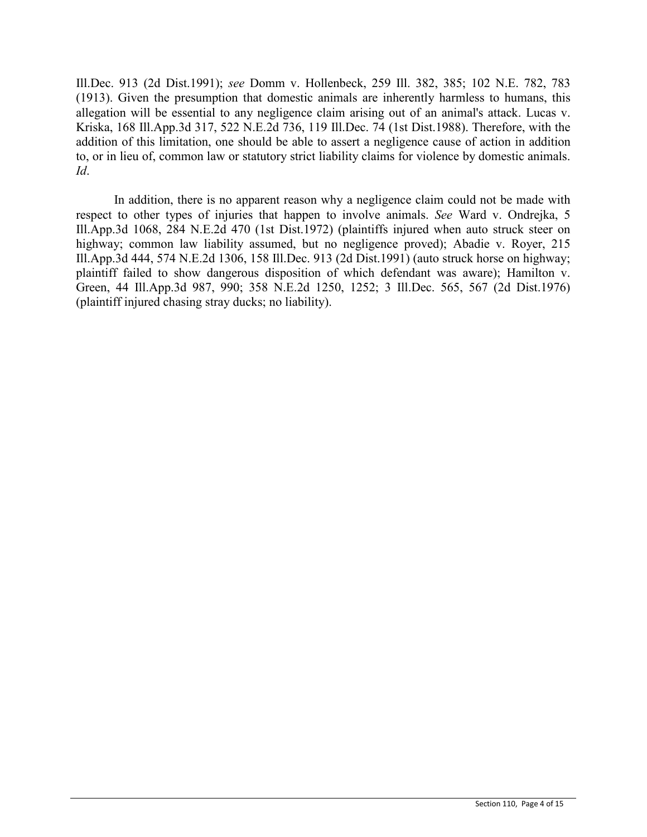Ill.Dec. 913 (2d Dist.1991); *see* Domm v. Hollenbeck, 259 Ill. 382, 385; 102 N.E. 782, 783 (1913). Given the presumption that domestic animals are inherently harmless to humans, this allegation will be essential to any negligence claim arising out of an animal's attack. Lucas v. Kriska, 168 Ill.App.3d 317, 522 N.E.2d 736, 119 Ill.Dec. 74 (1st Dist.1988). Therefore, with the addition of this limitation, one should be able to assert a negligence cause of action in addition to, or in lieu of, common law or statutory strict liability claims for violence by domestic animals. *Id*.

In addition, there is no apparent reason why a negligence claim could not be made with respect to other types of injuries that happen to involve animals. *See* Ward v. Ondrejka, 5 Ill.App.3d 1068, 284 N.E.2d 470 (1st Dist.1972) (plaintiffs injured when auto struck steer on highway; common law liability assumed, but no negligence proved); Abadie v. Royer, 215 Ill.App.3d 444, 574 N.E.2d 1306, 158 Ill.Dec. 913 (2d Dist.1991) (auto struck horse on highway; plaintiff failed to show dangerous disposition of which defendant was aware); Hamilton v. Green, 44 Ill.App.3d 987, 990; 358 N.E.2d 1250, 1252; 3 Ill.Dec. 565, 567 (2d Dist.1976) (plaintiff injured chasing stray ducks; no liability).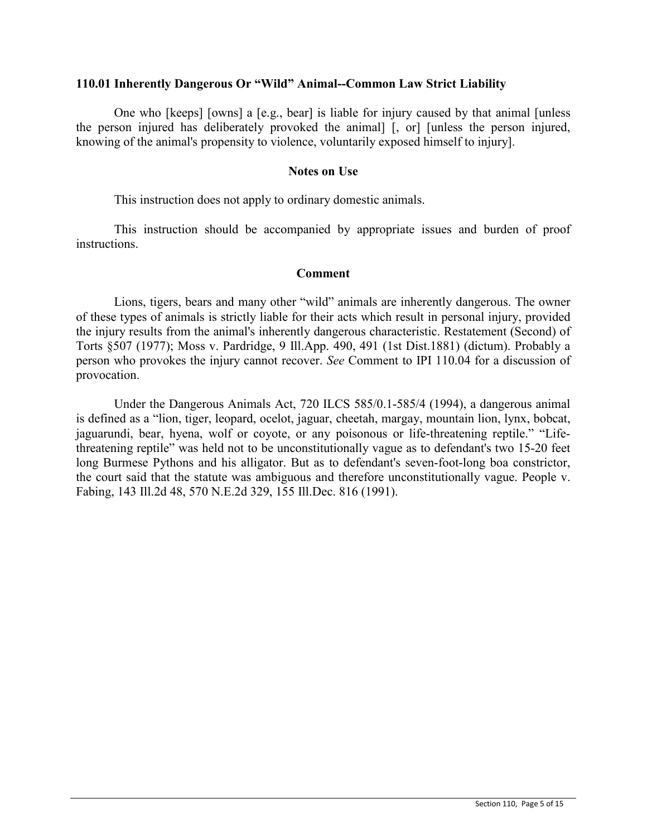### **110.01 Inherently Dangerous Or "Wild" Animal--Common Law Strict Liability**

One who [keeps] [owns] a [e.g., bear] is liable for injury caused by that animal [unless the person injured has deliberately provoked the animal] [, or] [unless the person injured, knowing of the animal's propensity to violence, voluntarily exposed himself to injury].

### **Notes on Use**

This instruction does not apply to ordinary domestic animals.

This instruction should be accompanied by appropriate issues and burden of proof instructions.

## **Comment**

Lions, tigers, bears and many other "wild" animals are inherently dangerous. The owner of these types of animals is strictly liable for their acts which result in personal injury, provided the injury results from the animal's inherently dangerous characteristic. Restatement (Second) of Torts §507 (1977); Moss v. Pardridge, 9 Ill.App. 490, 491 (1st Dist.1881) (dictum). Probably a person who provokes the injury cannot recover. *See* Comment to IPI 110.04 for a discussion of provocation.

Under the Dangerous Animals Act, 720 ILCS 585/0.1-585/4 (1994), a dangerous animal is defined as a "lion, tiger, leopard, ocelot, jaguar, cheetah, margay, mountain lion, lynx, bobcat, jaguarundi, bear, hyena, wolf or coyote, or any poisonous or life-threatening reptile." "Lifethreatening reptile" was held not to be unconstitutionally vague as to defendant's two 15-20 feet long Burmese Pythons and his alligator. But as to defendant's seven-foot-long boa constrictor, the court said that the statute was ambiguous and therefore unconstitutionally vague. People v. Fabing, 143 Ill.2d 48, 570 N.E.2d 329, 155 Ill.Dec. 816 (1991).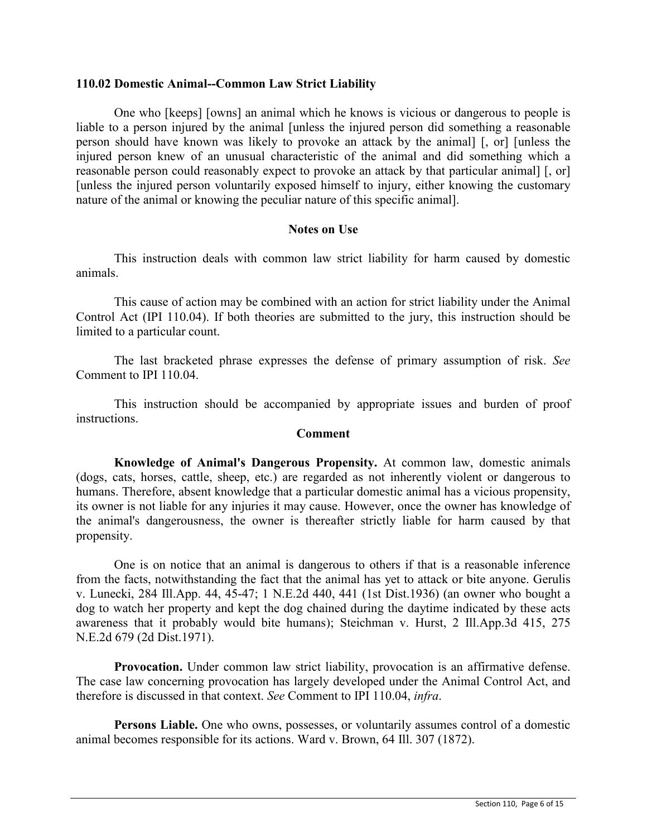### **110.02 Domestic Animal--Common Law Strict Liability**

One who [keeps] [owns] an animal which he knows is vicious or dangerous to people is liable to a person injured by the animal [unless the injured person did something a reasonable person should have known was likely to provoke an attack by the animal] [, or] [unless the injured person knew of an unusual characteristic of the animal and did something which a reasonable person could reasonably expect to provoke an attack by that particular animal] [, or] [unless the injured person voluntarily exposed himself to injury, either knowing the customary nature of the animal or knowing the peculiar nature of this specific animal].

# **Notes on Use**

This instruction deals with common law strict liability for harm caused by domestic animals.

This cause of action may be combined with an action for strict liability under the Animal Control Act (IPI 110.04). If both theories are submitted to the jury, this instruction should be limited to a particular count.

The last bracketed phrase expresses the defense of primary assumption of risk. *See* Comment to IPI 110.04.

This instruction should be accompanied by appropriate issues and burden of proof instructions.

### **Comment**

**Knowledge of Animal's Dangerous Propensity.** At common law, domestic animals (dogs, cats, horses, cattle, sheep, etc.) are regarded as not inherently violent or dangerous to humans. Therefore, absent knowledge that a particular domestic animal has a vicious propensity, its owner is not liable for any injuries it may cause. However, once the owner has knowledge of the animal's dangerousness, the owner is thereafter strictly liable for harm caused by that propensity.

One is on notice that an animal is dangerous to others if that is a reasonable inference from the facts, notwithstanding the fact that the animal has yet to attack or bite anyone. Gerulis v. Lunecki, 284 Ill.App. 44, 45-47; 1 N.E.2d 440, 441 (1st Dist.1936) (an owner who bought a dog to watch her property and kept the dog chained during the daytime indicated by these acts awareness that it probably would bite humans); Steichman v. Hurst, 2 Ill.App.3d 415, 275 N.E.2d 679 (2d Dist.1971).

**Provocation.** Under common law strict liability, provocation is an affirmative defense. The case law concerning provocation has largely developed under the Animal Control Act, and therefore is discussed in that context. *See* Comment to IPI 110.04, *infra*.

**Persons Liable.** One who owns, possesses, or voluntarily assumes control of a domestic animal becomes responsible for its actions. Ward v. Brown, 64 Ill. 307 (1872).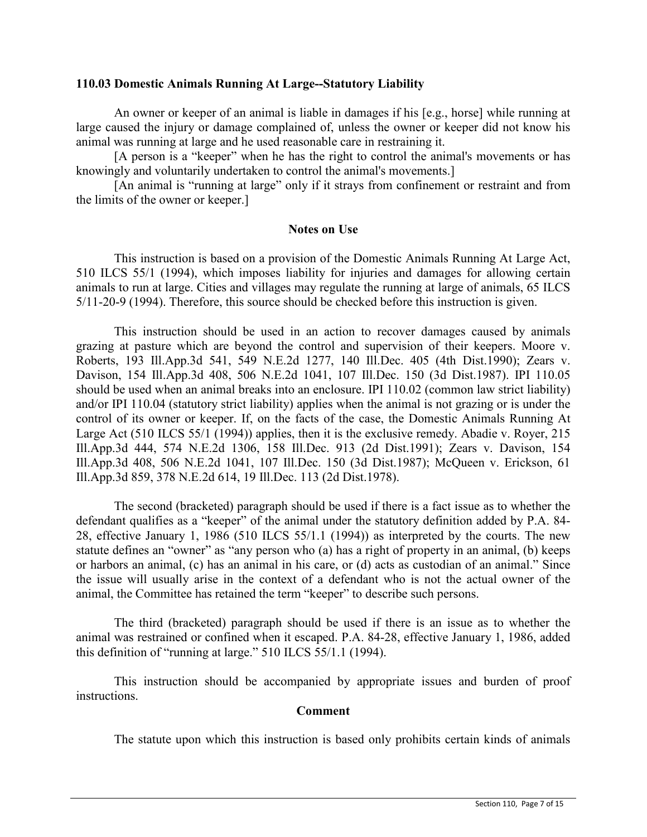### **110.03 Domestic Animals Running At Large--Statutory Liability**

An owner or keeper of an animal is liable in damages if his [e.g., horse] while running at large caused the injury or damage complained of, unless the owner or keeper did not know his animal was running at large and he used reasonable care in restraining it.

[A person is a "keeper" when he has the right to control the animal's movements or has knowingly and voluntarily undertaken to control the animal's movements.]

[An animal is "running at large" only if it strays from confinement or restraint and from the limits of the owner or keeper.]

### **Notes on Use**

This instruction is based on a provision of the Domestic Animals Running At Large Act, 510 ILCS 55/1 (1994), which imposes liability for injuries and damages for allowing certain animals to run at large. Cities and villages may regulate the running at large of animals, 65 ILCS 5/11-20-9 (1994). Therefore, this source should be checked before this instruction is given.

This instruction should be used in an action to recover damages caused by animals grazing at pasture which are beyond the control and supervision of their keepers. Moore v. Roberts, 193 Ill.App.3d 541, 549 N.E.2d 1277, 140 Ill.Dec. 405 (4th Dist.1990); Zears v. Davison, 154 Ill.App.3d 408, 506 N.E.2d 1041, 107 Ill.Dec. 150 (3d Dist.1987). IPI 110.05 should be used when an animal breaks into an enclosure. IPI 110.02 (common law strict liability) and/or IPI 110.04 (statutory strict liability) applies when the animal is not grazing or is under the control of its owner or keeper. If, on the facts of the case, the Domestic Animals Running At Large Act (510 ILCS 55/1 (1994)) applies, then it is the exclusive remedy. Abadie v. Royer, 215 Ill.App.3d 444, 574 N.E.2d 1306, 158 Ill.Dec. 913 (2d Dist.1991); Zears v. Davison, 154 Ill.App.3d 408, 506 N.E.2d 1041, 107 Ill.Dec. 150 (3d Dist.1987); McQueen v. Erickson, 61 Ill.App.3d 859, 378 N.E.2d 614, 19 Ill.Dec. 113 (2d Dist.1978).

The second (bracketed) paragraph should be used if there is a fact issue as to whether the defendant qualifies as a "keeper" of the animal under the statutory definition added by P.A. 84- 28, effective January 1, 1986 (510 ILCS 55/1.1 (1994)) as interpreted by the courts. The new statute defines an "owner" as "any person who (a) has a right of property in an animal, (b) keeps or harbors an animal, (c) has an animal in his care, or (d) acts as custodian of an animal." Since the issue will usually arise in the context of a defendant who is not the actual owner of the animal, the Committee has retained the term "keeper" to describe such persons.

The third (bracketed) paragraph should be used if there is an issue as to whether the animal was restrained or confined when it escaped. P.A. 84-28, effective January 1, 1986, added this definition of "running at large." 510 ILCS 55/1.1 (1994).

This instruction should be accompanied by appropriate issues and burden of proof instructions.

### **Comment**

The statute upon which this instruction is based only prohibits certain kinds of animals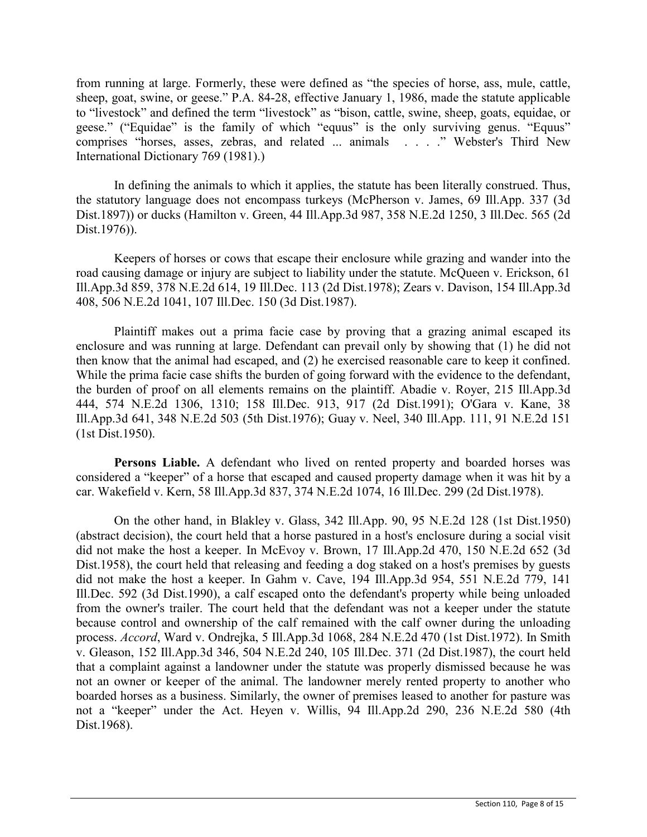from running at large. Formerly, these were defined as "the species of horse, ass, mule, cattle, sheep, goat, swine, or geese." P.A. 84-28, effective January 1, 1986, made the statute applicable to "livestock" and defined the term "livestock" as "bison, cattle, swine, sheep, goats, equidae, or geese." ("Equidae" is the family of which "equus" is the only surviving genus. "Equus" comprises "horses, asses, zebras, and related ... animals . . . ." Webster's Third New International Dictionary 769 (1981).)

In defining the animals to which it applies, the statute has been literally construed. Thus, the statutory language does not encompass turkeys (McPherson v. James, 69 Ill.App. 337 (3d Dist.1897)) or ducks (Hamilton v. Green, 44 Ill.App.3d 987, 358 N.E.2d 1250, 3 Ill.Dec. 565 (2d Dist.1976)).

Keepers of horses or cows that escape their enclosure while grazing and wander into the road causing damage or injury are subject to liability under the statute. McQueen v. Erickson, 61 Ill.App.3d 859, 378 N.E.2d 614, 19 Ill.Dec. 113 (2d Dist.1978); Zears v. Davison, 154 Ill.App.3d 408, 506 N.E.2d 1041, 107 Ill.Dec. 150 (3d Dist.1987).

Plaintiff makes out a prima facie case by proving that a grazing animal escaped its enclosure and was running at large. Defendant can prevail only by showing that (1) he did not then know that the animal had escaped, and (2) he exercised reasonable care to keep it confined. While the prima facie case shifts the burden of going forward with the evidence to the defendant, the burden of proof on all elements remains on the plaintiff. Abadie v. Royer, 215 Ill.App.3d 444, 574 N.E.2d 1306, 1310; 158 Ill.Dec. 913, 917 (2d Dist.1991); O'Gara v. Kane, 38 Ill.App.3d 641, 348 N.E.2d 503 (5th Dist.1976); Guay v. Neel, 340 Ill.App. 111, 91 N.E.2d 151 (1st Dist.1950).

**Persons Liable.** A defendant who lived on rented property and boarded horses was considered a "keeper" of a horse that escaped and caused property damage when it was hit by a car. Wakefield v. Kern, 58 Ill.App.3d 837, 374 N.E.2d 1074, 16 Ill.Dec. 299 (2d Dist.1978).

On the other hand, in Blakley v. Glass, 342 Ill.App. 90, 95 N.E.2d 128 (1st Dist.1950) (abstract decision), the court held that a horse pastured in a host's enclosure during a social visit did not make the host a keeper. In McEvoy v. Brown, 17 Ill.App.2d 470, 150 N.E.2d 652 (3d Dist.1958), the court held that releasing and feeding a dog staked on a host's premises by guests did not make the host a keeper. In Gahm v. Cave, 194 Ill.App.3d 954, 551 N.E.2d 779, 141 Ill.Dec. 592 (3d Dist.1990), a calf escaped onto the defendant's property while being unloaded from the owner's trailer. The court held that the defendant was not a keeper under the statute because control and ownership of the calf remained with the calf owner during the unloading process. *Accord*, Ward v. Ondrejka, 5 Ill.App.3d 1068, 284 N.E.2d 470 (1st Dist.1972). In Smith v. Gleason, 152 Ill.App.3d 346, 504 N.E.2d 240, 105 Ill.Dec. 371 (2d Dist.1987), the court held that a complaint against a landowner under the statute was properly dismissed because he was not an owner or keeper of the animal. The landowner merely rented property to another who boarded horses as a business. Similarly, the owner of premises leased to another for pasture was not a "keeper" under the Act. Heyen v. Willis, 94 Ill.App.2d 290, 236 N.E.2d 580 (4th Dist.1968).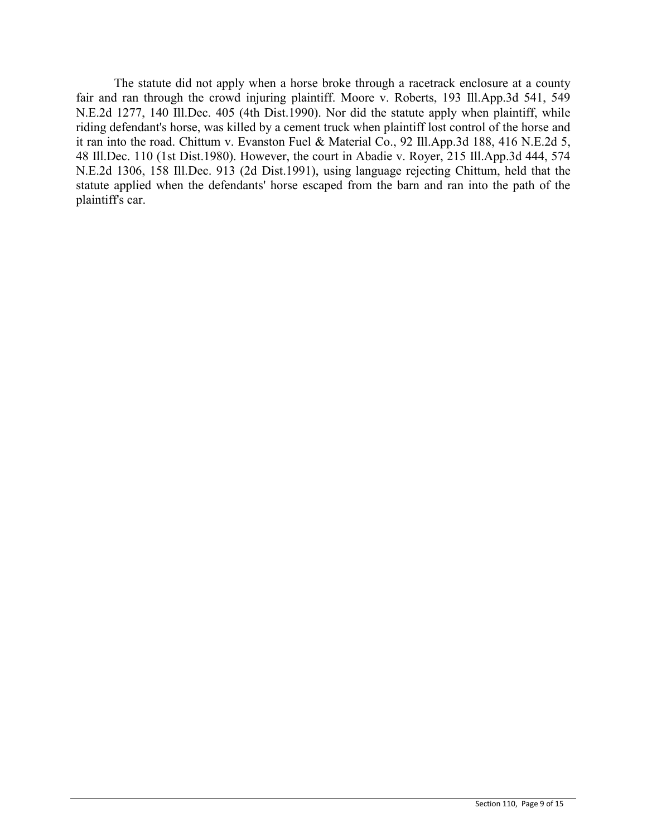The statute did not apply when a horse broke through a racetrack enclosure at a county fair and ran through the crowd injuring plaintiff. Moore v. Roberts, 193 Ill.App.3d 541, 549 N.E.2d 1277, 140 Ill.Dec. 405 (4th Dist.1990). Nor did the statute apply when plaintiff, while riding defendant's horse, was killed by a cement truck when plaintiff lost control of the horse and it ran into the road. Chittum v. Evanston Fuel & Material Co., 92 Ill.App.3d 188, 416 N.E.2d 5, 48 Ill.Dec. 110 (1st Dist.1980). However, the court in Abadie v. Royer, 215 Ill.App.3d 444, 574 N.E.2d 1306, 158 Ill.Dec. 913 (2d Dist.1991), using language rejecting Chittum, held that the statute applied when the defendants' horse escaped from the barn and ran into the path of the plaintiff's car.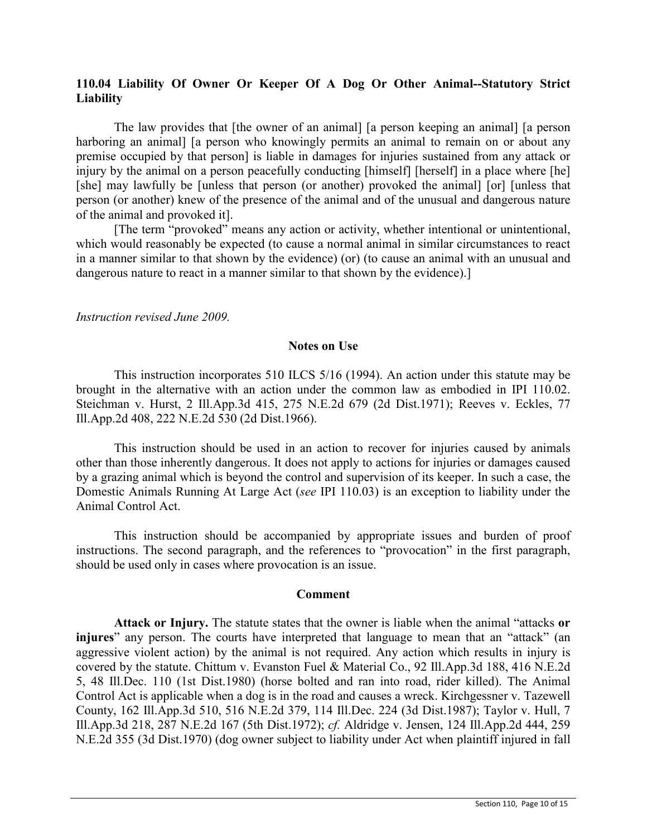# **110.04 Liability Of Owner Or Keeper Of A Dog Or Other Animal--Statutory Strict Liability**

The law provides that [the owner of an animal] [a person keeping an animal] [a person harboring an animal] [a person who knowingly permits an animal to remain on or about any premise occupied by that person] is liable in damages for injuries sustained from any attack or injury by the animal on a person peacefully conducting [himself] [herself] in a place where [he] [she] may lawfully be [unless that person (or another) provoked the animal] [or] [unless that person (or another) knew of the presence of the animal and of the unusual and dangerous nature of the animal and provoked it].

[The term "provoked" means any action or activity, whether intentional or unintentional, which would reasonably be expected (to cause a normal animal in similar circumstances to react in a manner similar to that shown by the evidence) (or) (to cause an animal with an unusual and dangerous nature to react in a manner similar to that shown by the evidence).]

*Instruction revised June 2009.*

#### **Notes on Use**

This instruction incorporates 510 ILCS 5/16 (1994). An action under this statute may be brought in the alternative with an action under the common law as embodied in IPI 110.02. Steichman v. Hurst, 2 Ill.App.3d 415, 275 N.E.2d 679 (2d Dist.1971); Reeves v. Eckles, 77 Ill.App.2d 408, 222 N.E.2d 530 (2d Dist.1966).

This instruction should be used in an action to recover for injuries caused by animals other than those inherently dangerous. It does not apply to actions for injuries or damages caused by a grazing animal which is beyond the control and supervision of its keeper. In such a case, the Domestic Animals Running At Large Act (*see* IPI 110.03) is an exception to liability under the Animal Control Act.

This instruction should be accompanied by appropriate issues and burden of proof instructions. The second paragraph, and the references to "provocation" in the first paragraph, should be used only in cases where provocation is an issue.

### **Comment**

**Attack or Injury.** The statute states that the owner is liable when the animal "attacks **or injures**" any person. The courts have interpreted that language to mean that an "attack" (an aggressive violent action) by the animal is not required. Any action which results in injury is covered by the statute. Chittum v. Evanston Fuel & Material Co., 92 Ill.App.3d 188, 416 N.E.2d 5, 48 Ill.Dec. 110 (1st Dist.1980) (horse bolted and ran into road, rider killed). The Animal Control Act is applicable when a dog is in the road and causes a wreck. Kirchgessner v. Tazewell County, 162 Ill.App.3d 510, 516 N.E.2d 379, 114 Ill.Dec. 224 (3d Dist.1987); Taylor v. Hull, 7 Ill.App.3d 218, 287 N.E.2d 167 (5th Dist.1972); *cf.* Aldridge v. Jensen, 124 Ill.App.2d 444, 259 N.E.2d 355 (3d Dist.1970) (dog owner subject to liability under Act when plaintiff injured in fall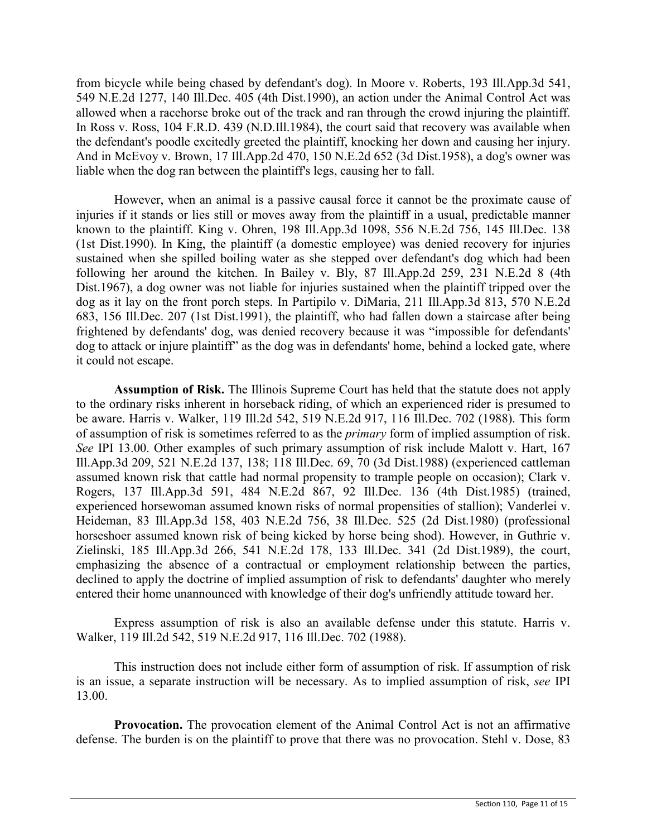from bicycle while being chased by defendant's dog). In Moore v. Roberts, 193 Ill.App.3d 541, 549 N.E.2d 1277, 140 Ill.Dec. 405 (4th Dist.1990), an action under the Animal Control Act was allowed when a racehorse broke out of the track and ran through the crowd injuring the plaintiff. In Ross v. Ross, 104 F.R.D. 439 (N.D.III.1984), the court said that recovery was available when the defendant's poodle excitedly greeted the plaintiff, knocking her down and causing her injury. And in McEvoy v. Brown, 17 Ill.App.2d 470, 150 N.E.2d 652 (3d Dist.1958), a dog's owner was liable when the dog ran between the plaintiff's legs, causing her to fall.

However, when an animal is a passive causal force it cannot be the proximate cause of injuries if it stands or lies still or moves away from the plaintiff in a usual, predictable manner known to the plaintiff. King v. Ohren, 198 Ill.App.3d 1098, 556 N.E.2d 756, 145 Ill.Dec. 138 (1st Dist.1990). In King, the plaintiff (a domestic employee) was denied recovery for injuries sustained when she spilled boiling water as she stepped over defendant's dog which had been following her around the kitchen. In Bailey v. Bly, 87 Ill.App.2d 259, 231 N.E.2d 8 (4th Dist.1967), a dog owner was not liable for injuries sustained when the plaintiff tripped over the dog as it lay on the front porch steps. In Partipilo v. DiMaria, 211 Ill.App.3d 813, 570 N.E.2d 683, 156 Ill.Dec. 207 (1st Dist.1991), the plaintiff, who had fallen down a staircase after being frightened by defendants' dog, was denied recovery because it was "impossible for defendants' dog to attack or injure plaintiff" as the dog was in defendants' home, behind a locked gate, where it could not escape.

**Assumption of Risk.** The Illinois Supreme Court has held that the statute does not apply to the ordinary risks inherent in horseback riding, of which an experienced rider is presumed to be aware. Harris v. Walker, 119 Ill.2d 542, 519 N.E.2d 917, 116 Ill.Dec. 702 (1988). This form of assumption of risk is sometimes referred to as the *primary* form of implied assumption of risk. *See* IPI 13.00. Other examples of such primary assumption of risk include Malott v. Hart, 167 Ill.App.3d 209, 521 N.E.2d 137, 138; 118 Ill.Dec. 69, 70 (3d Dist.1988) (experienced cattleman assumed known risk that cattle had normal propensity to trample people on occasion); Clark v. Rogers, 137 Ill.App.3d 591, 484 N.E.2d 867, 92 Ill.Dec. 136 (4th Dist.1985) (trained, experienced horsewoman assumed known risks of normal propensities of stallion); Vanderlei v. Heideman, 83 Ill.App.3d 158, 403 N.E.2d 756, 38 Ill.Dec. 525 (2d Dist.1980) (professional horseshoer assumed known risk of being kicked by horse being shod). However, in Guthrie v. Zielinski, 185 Ill.App.3d 266, 541 N.E.2d 178, 133 Ill.Dec. 341 (2d Dist.1989), the court, emphasizing the absence of a contractual or employment relationship between the parties, declined to apply the doctrine of implied assumption of risk to defendants' daughter who merely entered their home unannounced with knowledge of their dog's unfriendly attitude toward her.

Express assumption of risk is also an available defense under this statute. Harris v. Walker, 119 Ill.2d 542, 519 N.E.2d 917, 116 Ill.Dec. 702 (1988).

This instruction does not include either form of assumption of risk. If assumption of risk is an issue, a separate instruction will be necessary. As to implied assumption of risk, *see* IPI 13.00.

**Provocation.** The provocation element of the Animal Control Act is not an affirmative defense. The burden is on the plaintiff to prove that there was no provocation. Stehl v. Dose, 83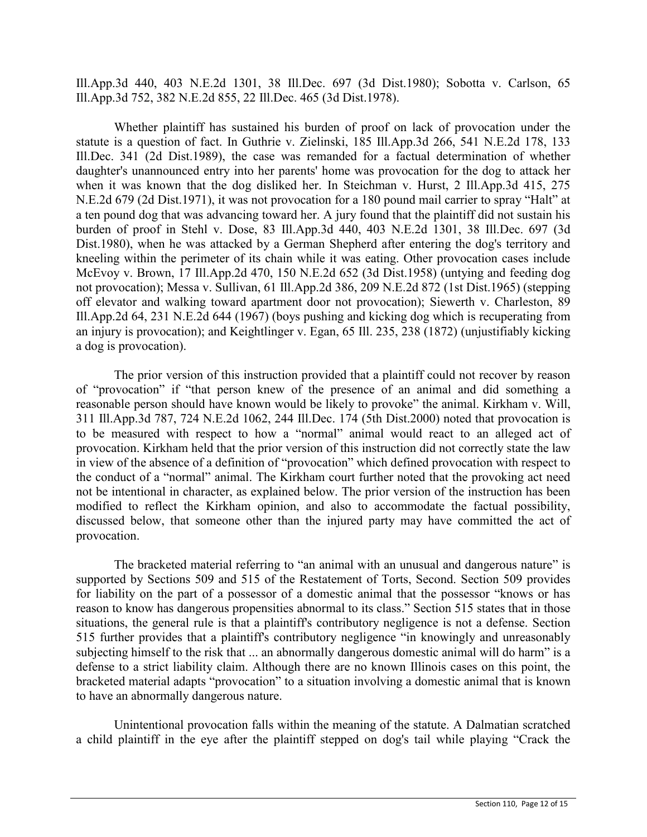Ill.App.3d 440, 403 N.E.2d 1301, 38 Ill.Dec. 697 (3d Dist.1980); Sobotta v. Carlson, 65 Ill.App.3d 752, 382 N.E.2d 855, 22 Ill.Dec. 465 (3d Dist.1978).

Whether plaintiff has sustained his burden of proof on lack of provocation under the statute is a question of fact. In Guthrie v. Zielinski, 185 Ill.App.3d 266, 541 N.E.2d 178, 133 Ill.Dec. 341 (2d Dist.1989), the case was remanded for a factual determination of whether daughter's unannounced entry into her parents' home was provocation for the dog to attack her when it was known that the dog disliked her. In Steichman v. Hurst, 2 Ill.App.3d 415, 275 N.E.2d 679 (2d Dist.1971), it was not provocation for a 180 pound mail carrier to spray "Halt" at a ten pound dog that was advancing toward her. A jury found that the plaintiff did not sustain his burden of proof in Stehl v. Dose, 83 Ill.App.3d 440, 403 N.E.2d 1301, 38 Ill.Dec. 697 (3d Dist.1980), when he was attacked by a German Shepherd after entering the dog's territory and kneeling within the perimeter of its chain while it was eating. Other provocation cases include McEvoy v. Brown, 17 Ill.App.2d 470, 150 N.E.2d 652 (3d Dist.1958) (untying and feeding dog not provocation); Messa v. Sullivan, 61 Ill.App.2d 386, 209 N.E.2d 872 (1st Dist.1965) (stepping off elevator and walking toward apartment door not provocation); Siewerth v. Charleston, 89 Ill.App.2d 64, 231 N.E.2d 644 (1967) (boys pushing and kicking dog which is recuperating from an injury is provocation); and Keightlinger v. Egan, 65 Ill. 235, 238 (1872) (unjustifiably kicking a dog is provocation).

The prior version of this instruction provided that a plaintiff could not recover by reason of "provocation" if "that person knew of the presence of an animal and did something a reasonable person should have known would be likely to provoke" the animal. Kirkham v. Will, 311 Ill.App.3d 787, 724 N.E.2d 1062, 244 Ill.Dec. 174 (5th Dist.2000) noted that provocation is to be measured with respect to how a "normal" animal would react to an alleged act of provocation. Kirkham held that the prior version of this instruction did not correctly state the law in view of the absence of a definition of "provocation" which defined provocation with respect to the conduct of a "normal" animal. The Kirkham court further noted that the provoking act need not be intentional in character, as explained below. The prior version of the instruction has been modified to reflect the Kirkham opinion, and also to accommodate the factual possibility, discussed below, that someone other than the injured party may have committed the act of provocation.

The bracketed material referring to "an animal with an unusual and dangerous nature" is supported by Sections 509 and 515 of the Restatement of Torts, Second. Section 509 provides for liability on the part of a possessor of a domestic animal that the possessor "knows or has reason to know has dangerous propensities abnormal to its class." Section 515 states that in those situations, the general rule is that a plaintiff's contributory negligence is not a defense. Section 515 further provides that a plaintiff's contributory negligence "in knowingly and unreasonably subjecting himself to the risk that ... an abnormally dangerous domestic animal will do harm" is a defense to a strict liability claim. Although there are no known Illinois cases on this point, the bracketed material adapts "provocation" to a situation involving a domestic animal that is known to have an abnormally dangerous nature.

Unintentional provocation falls within the meaning of the statute. A Dalmatian scratched a child plaintiff in the eye after the plaintiff stepped on dog's tail while playing "Crack the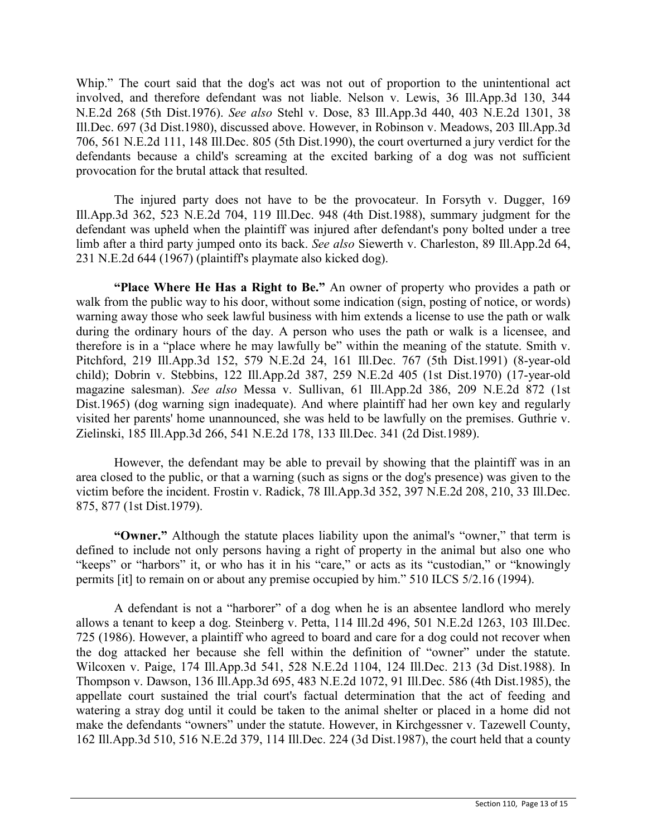Whip." The court said that the dog's act was not out of proportion to the unintentional act involved, and therefore defendant was not liable. Nelson v. Lewis, 36 Ill.App.3d 130, 344 N.E.2d 268 (5th Dist.1976). *See also* Stehl v. Dose, 83 Ill.App.3d 440, 403 N.E.2d 1301, 38 Ill.Dec. 697 (3d Dist.1980), discussed above. However, in Robinson v. Meadows, 203 Ill.App.3d 706, 561 N.E.2d 111, 148 Ill.Dec. 805 (5th Dist.1990), the court overturned a jury verdict for the defendants because a child's screaming at the excited barking of a dog was not sufficient provocation for the brutal attack that resulted.

The injured party does not have to be the provocateur. In Forsyth v. Dugger, 169 Ill.App.3d 362, 523 N.E.2d 704, 119 Ill.Dec. 948 (4th Dist.1988), summary judgment for the defendant was upheld when the plaintiff was injured after defendant's pony bolted under a tree limb after a third party jumped onto its back. *See also* Siewerth v. Charleston, 89 Ill.App.2d 64, 231 N.E.2d 644 (1967) (plaintiff's playmate also kicked dog).

**"Place Where He Has a Right to Be."** An owner of property who provides a path or walk from the public way to his door, without some indication (sign, posting of notice, or words) warning away those who seek lawful business with him extends a license to use the path or walk during the ordinary hours of the day. A person who uses the path or walk is a licensee, and therefore is in a "place where he may lawfully be" within the meaning of the statute. Smith v. Pitchford, 219 Ill.App.3d 152, 579 N.E.2d 24, 161 Ill.Dec. 767 (5th Dist.1991) (8-year-old child); Dobrin v. Stebbins, 122 Ill.App.2d 387, 259 N.E.2d 405 (1st Dist.1970) (17-year-old magazine salesman). *See also* Messa v. Sullivan, 61 Ill.App.2d 386, 209 N.E.2d 872 (1st Dist.1965) (dog warning sign inadequate). And where plaintiff had her own key and regularly visited her parents' home unannounced, she was held to be lawfully on the premises. Guthrie v. Zielinski, 185 Ill.App.3d 266, 541 N.E.2d 178, 133 Ill.Dec. 341 (2d Dist.1989).

However, the defendant may be able to prevail by showing that the plaintiff was in an area closed to the public, or that a warning (such as signs or the dog's presence) was given to the victim before the incident. Frostin v. Radick, 78 Ill.App.3d 352, 397 N.E.2d 208, 210, 33 Ill.Dec. 875, 877 (1st Dist.1979).

**"Owner."** Although the statute places liability upon the animal's "owner," that term is defined to include not only persons having a right of property in the animal but also one who "keeps" or "harbors" it, or who has it in his "care," or acts as its "custodian," or "knowingly permits [it] to remain on or about any premise occupied by him." 510 ILCS 5/2.16 (1994).

A defendant is not a "harborer" of a dog when he is an absentee landlord who merely allows a tenant to keep a dog. Steinberg v. Petta, 114 Ill.2d 496, 501 N.E.2d 1263, 103 Ill.Dec. 725 (1986). However, a plaintiff who agreed to board and care for a dog could not recover when the dog attacked her because she fell within the definition of "owner" under the statute. Wilcoxen v. Paige, 174 Ill.App.3d 541, 528 N.E.2d 1104, 124 Ill.Dec. 213 (3d Dist.1988). In Thompson v. Dawson, 136 Ill.App.3d 695, 483 N.E.2d 1072, 91 Ill.Dec. 586 (4th Dist.1985), the appellate court sustained the trial court's factual determination that the act of feeding and watering a stray dog until it could be taken to the animal shelter or placed in a home did not make the defendants "owners" under the statute. However, in Kirchgessner v. Tazewell County, 162 Ill.App.3d 510, 516 N.E.2d 379, 114 Ill.Dec. 224 (3d Dist.1987), the court held that a county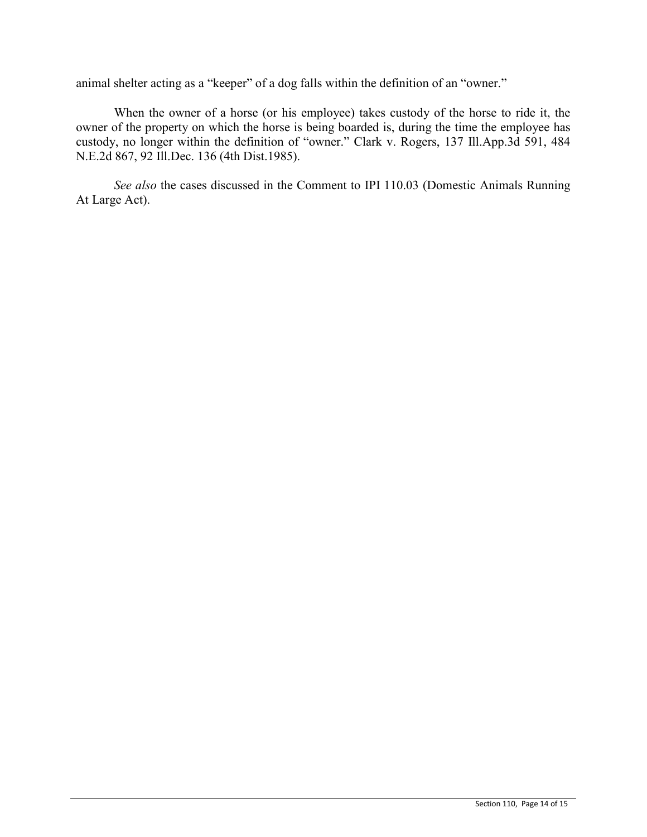animal shelter acting as a "keeper" of a dog falls within the definition of an "owner."

When the owner of a horse (or his employee) takes custody of the horse to ride it, the owner of the property on which the horse is being boarded is, during the time the employee has custody, no longer within the definition of "owner." Clark v. Rogers, 137 Ill.App.3d 591, 484 N.E.2d 867, 92 Ill.Dec. 136 (4th Dist.1985).

*See also* the cases discussed in the Comment to IPI 110.03 (Domestic Animals Running At Large Act).